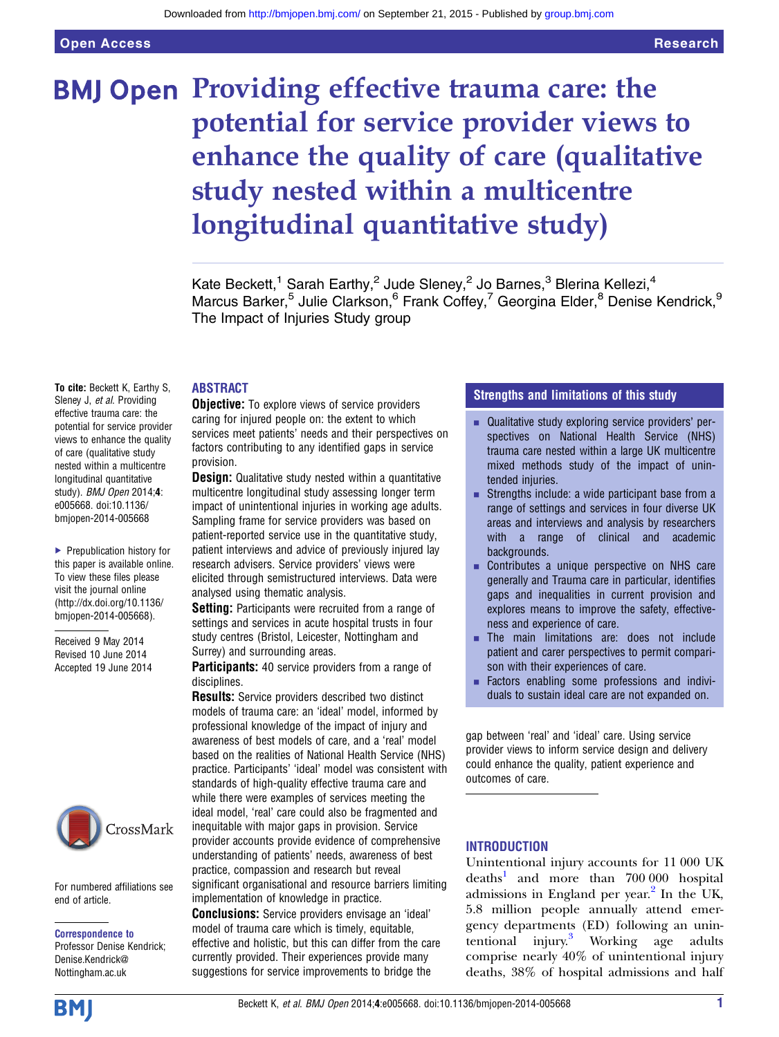# **BMJ Open Providing effective trauma care: the** potential for service provider views to enhance the quality of care (qualitative study nested within a multicentre longitudinal quantitative study)

Kate Beckett,<sup>1</sup> Sarah Earthy,<sup>2</sup> Jude Sleney,<sup>2</sup> Jo Barnes,<sup>3</sup> Blerina Kellezi,<sup>4</sup> Marcus Barker,<sup>5</sup> Julie Clarkson,<sup>6</sup> Frank Coffey,<sup>7</sup> Georgina Elder,<sup>8</sup> Denise Kendrick,<sup>9</sup> The Impact of Injuries Study group

## ABSTRACT

To cite: Beckett K, Earthy S, Sleney J, et al. Providing effective trauma care: the potential for service provider views to enhance the quality of care (qualitative study nested within a multicentre longitudinal quantitative study). BMJ Open 2014;4: e005668. doi:10.1136/ bmjopen-2014-005668

▶ Prepublication history for this paper is available online. To view these files please visit the journal online [\(http://dx.doi.org/10.1136/](http://dx.doi.org/10.1136/bmjopen-2014-005668) [bmjopen-2014-005668](http://dx.doi.org/10.1136/bmjopen-2014-005668)).

Received 9 May 2014 Revised 10 June 2014 Accepted 19 June 2014



For numbered affiliations see end of article.

Correspondence to

Professor Denise Kendrick; Denise.Kendrick@ Nottingham.ac.uk

**Objective:** To explore views of service providers caring for injured people on: the extent to which services meet patients' needs and their perspectives on factors contributing to any identified gaps in service provision.

**Design:** Qualitative study nested within a quantitative multicentre longitudinal study assessing longer term impact of unintentional injuries in working age adults. Sampling frame for service providers was based on patient-reported service use in the quantitative study, patient interviews and advice of previously injured lay research advisers. Service providers' views were elicited through semistructured interviews. Data were analysed using thematic analysis.

Setting: Participants were recruited from a range of settings and services in acute hospital trusts in four study centres (Bristol, Leicester, Nottingham and Surrey) and surrounding areas.

Participants: 40 service providers from a range of disciplines.

Results: Service providers described two distinct models of trauma care: an 'ideal' model, informed by professional knowledge of the impact of injury and awareness of best models of care, and a 'real' model based on the realities of National Health Service (NHS) practice. Participants' 'ideal' model was consistent with standards of high-quality effective trauma care and while there were examples of services meeting the ideal model, 'real' care could also be fragmented and inequitable with major gaps in provision. Service provider accounts provide evidence of comprehensive understanding of patients' needs, awareness of best practice, compassion and research but reveal significant organisational and resource barriers limiting implementation of knowledge in practice.

Conclusions: Service providers envisage an 'ideal' model of trauma care which is timely, equitable, effective and holistic, but this can differ from the care currently provided. Their experiences provide many suggestions for service improvements to bridge the

## Strengths and limitations of this study

- Qualitative study exploring service providers' perspectives on National Health Service (NHS) trauma care nested within a large UK multicentre mixed methods study of the impact of unintended injuries.
- **EXECUTE:** Strengths include: a wide participant base from a range of settings and services in four diverse UK areas and interviews and analysis by researchers with a range of clinical and academic backgrounds.
- Contributes a unique perspective on NHS care generally and Trauma care in particular, identifies gaps and inequalities in current provision and explores means to improve the safety, effectiveness and experience of care.
- The main limitations are: does not include patient and carer perspectives to permit comparison with their experiences of care.
- Factors enabling some professions and individuals to sustain ideal care are not expanded on.

gap between 'real' and 'ideal' care. Using service provider views to inform service design and delivery could enhance the quality, patient experience and outcomes of care.

## **INTRODUCTION**

Unintentional injury accounts for 11 000 UK deaths<sup>[1](#page-8-0)</sup> and more than  $700000$  hospital admissions in England per year. $^{2}$  $^{2}$  $^{2}$  In the UK, 5.8 million people annually attend emergency departments (ED) following an unin-<br>tentional injury.<sup>3</sup> Working age adults Working age adults comprise nearly 40% of unintentional injury deaths, 38% of hospital admissions and half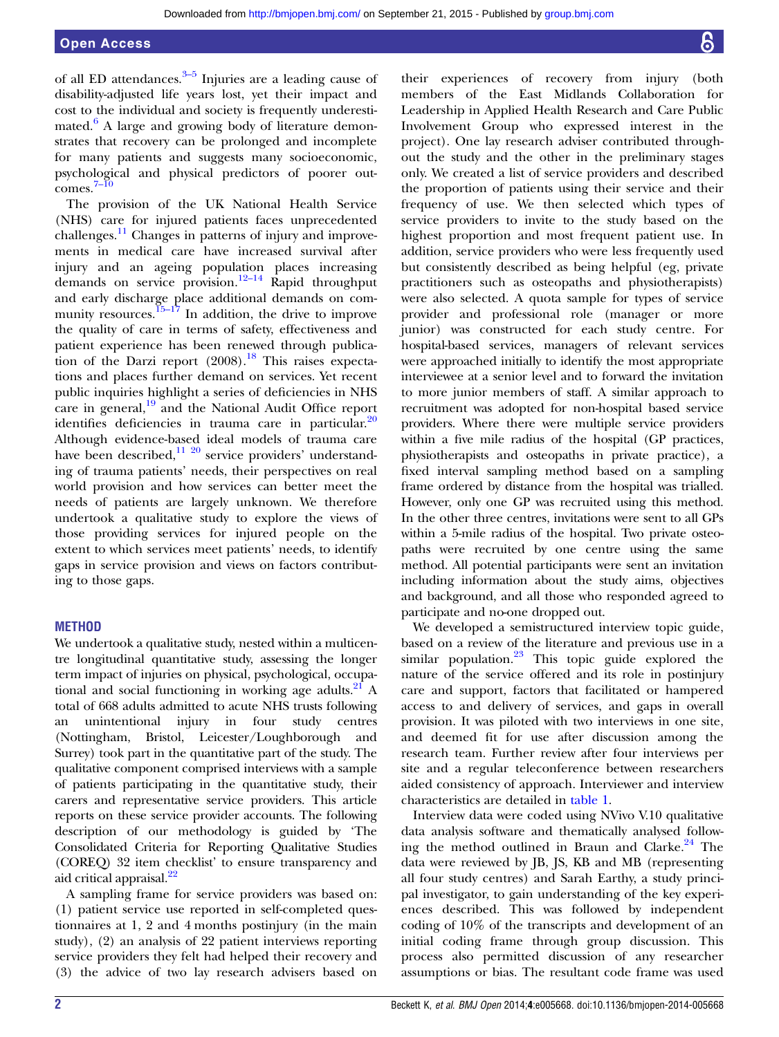of all ED attendances. $3-5$  $3-5$  Injuries are a leading cause of disability-adjusted life years lost, yet their impact and cost to the individual and society is frequently underestimated. $6$  A large and growing body of literature demonstrates that recovery can be prolonged and incomplete for many patients and suggests many socioeconomic, psychological and physical predictors of poorer out- $\frac{7}{2}$ comes.<sup>7–[10](#page-8-0)</sup>

The provision of the UK National Health Service (NHS) care for injured patients faces unprecedented challenges.[11](#page-9-0) Changes in patterns of injury and improvements in medical care have increased survival after injury and an ageing population places increasing demands on service provision.<sup>12–[14](#page-9-0)</sup> Rapid throughput and early discharge place additional demands on com-munity resources.<sup>[15](#page-9-0)–17</sup> In addition, the drive to improve the quality of care in terms of safety, effectiveness and patient experience has been renewed through publication of the Darzi report  $(2008).$ <sup>[18](#page-9-0)</sup> This raises expectations and places further demand on services. Yet recent public inquiries highlight a series of deficiencies in NHS care in general,<sup>[19](#page-9-0)</sup> and the National Audit Office report identifies deficiencies in trauma care in particular.<sup>[20](#page-9-0)</sup> Although evidence-based ideal models of trauma care have been described, $\frac{11}{20}$  service providers' understanding of trauma patients' needs, their perspectives on real world provision and how services can better meet the needs of patients are largely unknown. We therefore undertook a qualitative study to explore the views of those providing services for injured people on the extent to which services meet patients' needs, to identify gaps in service provision and views on factors contributing to those gaps.

## **METHOD**

We undertook a qualitative study, nested within a multicentre longitudinal quantitative study, assessing the longer term impact of injuries on physical, psychological, occupational and social functioning in working age adults. $^{21}$  A total of 668 adults admitted to acute NHS trusts following an unintentional injury in four study centres (Nottingham, Bristol, Leicester/Loughborough and Surrey) took part in the quantitative part of the study. The qualitative component comprised interviews with a sample of patients participating in the quantitative study, their carers and representative service providers. This article reports on these service provider accounts. The following description of our methodology is guided by 'The Consolidated Criteria for Reporting Qualitative Studies (COREQ) 32 item checklist' to ensure transparency and aid critical appraisal.<sup>22</sup>

A sampling frame for service providers was based on: (1) patient service use reported in self-completed questionnaires at 1, 2 and 4 months postinjury (in the main study), (2) an analysis of 22 patient interviews reporting service providers they felt had helped their recovery and (3) the advice of two lay research advisers based on

their experiences of recovery from injury (both members of the East Midlands Collaboration for Leadership in Applied Health Research and Care Public Involvement Group who expressed interest in the project). One lay research adviser contributed throughout the study and the other in the preliminary stages only. We created a list of service providers and described the proportion of patients using their service and their frequency of use. We then selected which types of service providers to invite to the study based on the highest proportion and most frequent patient use. In addition, service providers who were less frequently used but consistently described as being helpful (eg, private practitioners such as osteopaths and physiotherapists) were also selected. A quota sample for types of service provider and professional role (manager or more junior) was constructed for each study centre. For hospital-based services, managers of relevant services were approached initially to identify the most appropriate interviewee at a senior level and to forward the invitation to more junior members of staff. A similar approach to recruitment was adopted for non-hospital based service providers. Where there were multiple service providers within a five mile radius of the hospital (GP practices, physiotherapists and osteopaths in private practice), a fixed interval sampling method based on a sampling frame ordered by distance from the hospital was trialled. However, only one GP was recruited using this method. In the other three centres, invitations were sent to all GPs within a 5-mile radius of the hospital. Two private osteopaths were recruited by one centre using the same method. All potential participants were sent an invitation including information about the study aims, objectives and background, and all those who responded agreed to participate and no-one dropped out.

We developed a semistructured interview topic guide, based on a review of the literature and previous use in a similar population. $^{23}$  $^{23}$  $^{23}$  This topic guide explored the nature of the service offered and its role in postinjury care and support, factors that facilitated or hampered access to and delivery of services, and gaps in overall provision. It was piloted with two interviews in one site, and deemed fit for use after discussion among the research team. Further review after four interviews per site and a regular teleconference between researchers aided consistency of approach. Interviewer and interview characteristics are detailed in [table 1.](#page-2-0)

Interview data were coded using NVivo V.10 qualitative data analysis software and thematically analysed following the method outlined in Braun and Clarke. $24$  The data were reviewed by JB, JS, KB and MB (representing all four study centres) and Sarah Earthy, a study principal investigator, to gain understanding of the key experiences described. This was followed by independent coding of 10% of the transcripts and development of an initial coding frame through group discussion. This process also permitted discussion of any researcher assumptions or bias. The resultant code frame was used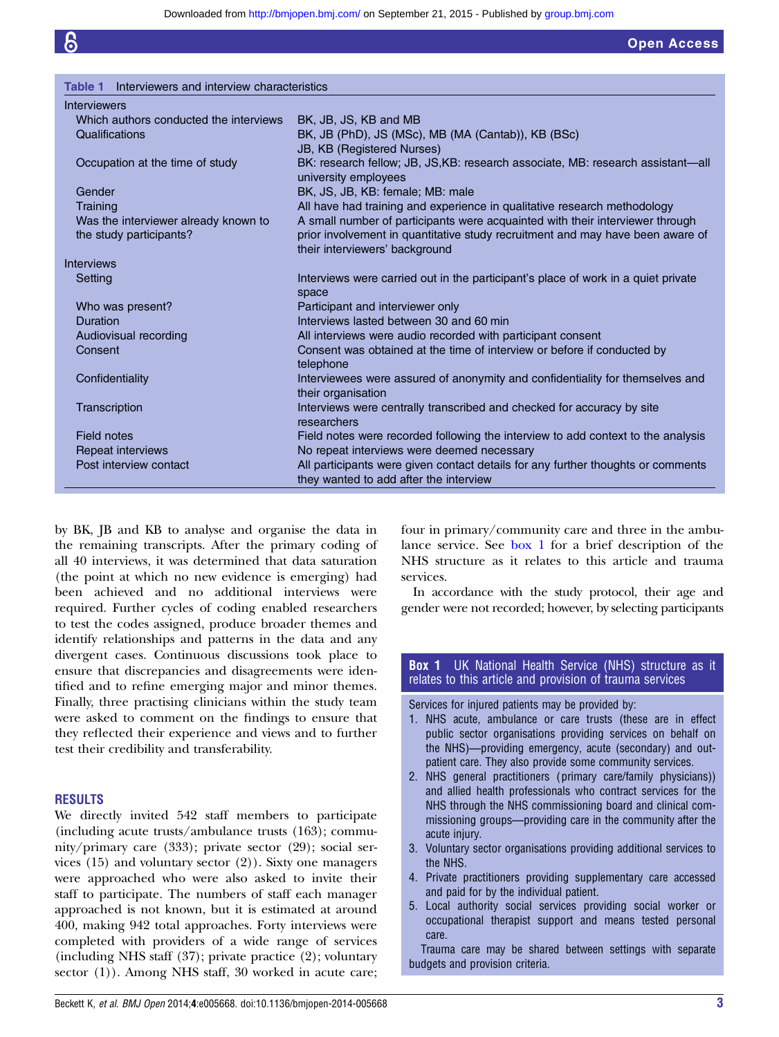<span id="page-2-0"></span>

|--|

| <b>Interviewers</b>                    |                                                                                                                            |
|----------------------------------------|----------------------------------------------------------------------------------------------------------------------------|
| Which authors conducted the interviews | BK, JB, JS, KB and MB                                                                                                      |
| Qualifications                         | BK, JB (PhD), JS (MSc), MB (MA (Cantab)), KB (BSc)                                                                         |
|                                        | JB, KB (Registered Nurses)                                                                                                 |
| Occupation at the time of study        | BK: research fellow; JB, JS,KB: research associate, MB: research assistant-all<br>university employees                     |
| Gender                                 | BK, JS, JB, KB: female; MB: male                                                                                           |
| Training                               | All have had training and experience in qualitative research methodology                                                   |
| Was the interviewer already known to   | A small number of participants were acquainted with their interviewer through                                              |
| the study participants?                | prior involvement in quantitative study recruitment and may have been aware of<br>their interviewers' background           |
| <b>Interviews</b>                      |                                                                                                                            |
| Setting                                | Interviews were carried out in the participant's place of work in a quiet private<br>space                                 |
| Who was present?                       | Participant and interviewer only                                                                                           |
| <b>Duration</b>                        | Interviews lasted between 30 and 60 min                                                                                    |
| Audiovisual recording                  | All interviews were audio recorded with participant consent                                                                |
| Consent                                | Consent was obtained at the time of interview or before if conducted by<br>telephone                                       |
| Confidentiality                        | Interviewees were assured of anonymity and confidentiality for themselves and<br>their organisation                        |
| Transcription                          | Interviews were centrally transcribed and checked for accuracy by site<br>researchers                                      |
| Field notes                            | Field notes were recorded following the interview to add context to the analysis                                           |
| Repeat interviews                      | No repeat interviews were deemed necessary                                                                                 |
| Post interview contact                 | All participants were given contact details for any further thoughts or comments<br>they wanted to add after the interview |

by BK, JB and KB to analyse and organise the data in the remaining transcripts. After the primary coding of all 40 interviews, it was determined that data saturation (the point at which no new evidence is emerging) had been achieved and no additional interviews were required. Further cycles of coding enabled researchers to test the codes assigned, produce broader themes and identify relationships and patterns in the data and any divergent cases. Continuous discussions took place to ensure that discrepancies and disagreements were identified and to refine emerging major and minor themes. Finally, three practising clinicians within the study team were asked to comment on the findings to ensure that they reflected their experience and views and to further test their credibility and transferability.

## RESULTS

We directly invited 542 staff members to participate (including acute trusts/ambulance trusts (163); community/primary care (333); private sector (29); social services (15) and voluntary sector (2)). Sixty one managers were approached who were also asked to invite their staff to participate. The numbers of staff each manager approached is not known, but it is estimated at around 400, making 942 total approaches. Forty interviews were completed with providers of a wide range of services (including NHS staff (37); private practice (2); voluntary sector (1)). Among NHS staff, 30 worked in acute care;

four in primary/community care and three in the ambulance service. See box 1 for a brief description of the NHS structure as it relates to this article and trauma services.

In accordance with the study protocol, their age and gender were not recorded; however, by selecting participants

## **Box 1** UK National Health Service (NHS) structure as it relates to this article and provision of trauma services

Services for injured patients may be provided by:

- 1. NHS acute, ambulance or care trusts (these are in effect public sector organisations providing services on behalf on the NHS)—providing emergency, acute (secondary) and outpatient care. They also provide some community services.
- 2. NHS general practitioners ( primary care/family physicians)) and allied health professionals who contract services for the NHS through the NHS commissioning board and clinical commissioning groups—providing care in the community after the acute injury.
- 3. Voluntary sector organisations providing additional services to the NHS.
- 4. Private practitioners providing supplementary care accessed and paid for by the individual patient.
- 5. Local authority social services providing social worker or occupational therapist support and means tested personal care.

Trauma care may be shared between settings with separate budgets and provision criteria.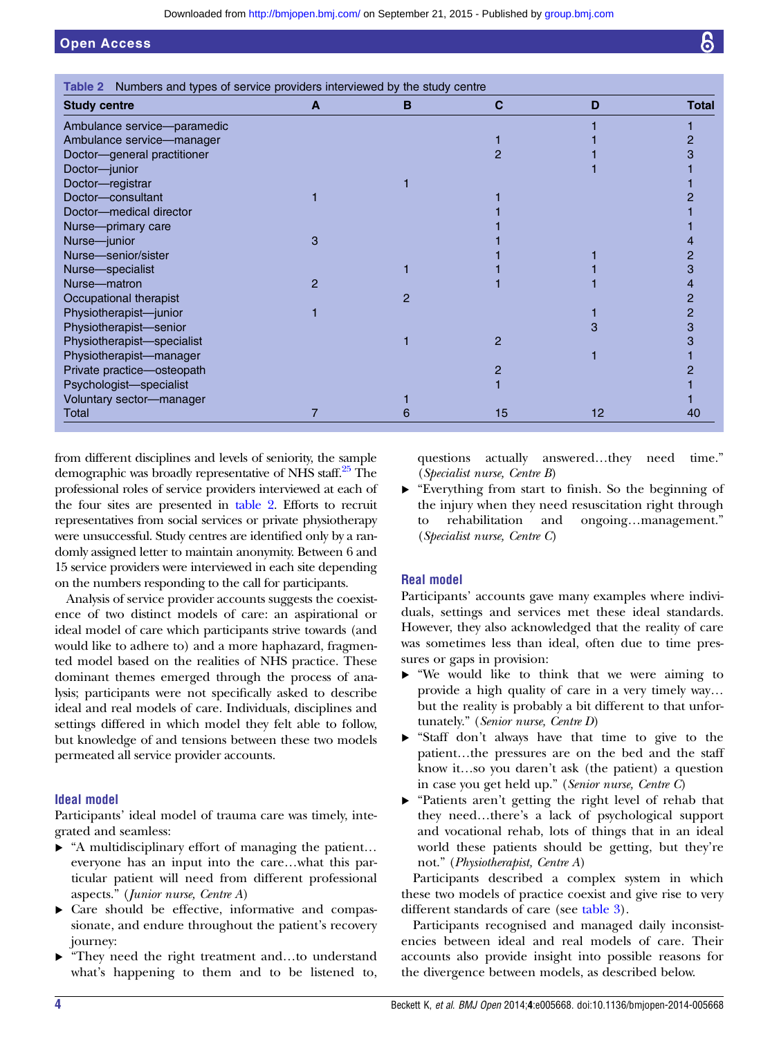| Numbers and types of service providers interviewed by the study centre<br>Table 2 |   |   |    |    |              |
|-----------------------------------------------------------------------------------|---|---|----|----|--------------|
| <b>Study centre</b>                                                               | А | в | С  | D  | <b>Total</b> |
| Ambulance service-paramedic                                                       |   |   |    |    |              |
| Ambulance service-manager                                                         |   |   |    |    |              |
| Doctor-general practitioner                                                       |   |   |    |    |              |
| Doctor-junior                                                                     |   |   |    |    |              |
| Doctor-registrar                                                                  |   |   |    |    |              |
| Doctor-consultant                                                                 |   |   |    |    |              |
| Doctor-medical director                                                           |   |   |    |    |              |
| Nurse-primary care                                                                |   |   |    |    |              |
| Nurse-junior                                                                      |   |   |    |    |              |
| Nurse-senior/sister                                                               |   |   |    |    |              |
| Nurse-specialist                                                                  |   |   |    |    |              |
| Nurse-matron                                                                      |   |   |    |    |              |
| Occupational therapist                                                            |   |   |    |    |              |
| Physiotherapist-junior                                                            |   |   |    |    |              |
| Physiotherapist-senior                                                            |   |   |    |    |              |
| Physiotherapist-specialist                                                        |   |   | 2  |    |              |
| Physiotherapist-manager                                                           |   |   |    |    |              |
| Private practice-osteopath                                                        |   |   |    |    |              |
| Psychologist-specialist                                                           |   |   |    |    |              |
| Voluntary sector-manager                                                          |   |   |    |    |              |
| Total                                                                             |   | г | 15 | 12 | 40           |

from different disciplines and levels of seniority, the sample demographic was broadly representative of NHS staff.<sup>25</sup> The professional roles of service providers interviewed at each of the four sites are presented in table 2. Efforts to recruit representatives from social services or private physiotherapy were unsuccessful. Study centres are identified only by a randomly assigned letter to maintain anonymity. Between 6 and 15 service providers were interviewed in each site depending on the numbers responding to the call for participants.

Analysis of service provider accounts suggests the coexistence of two distinct models of care: an aspirational or ideal model of care which participants strive towards (and would like to adhere to) and a more haphazard, fragmented model based on the realities of NHS practice. These dominant themes emerged through the process of analysis; participants were not specifically asked to describe ideal and real models of care. Individuals, disciplines and settings differed in which model they felt able to follow, but knowledge of and tensions between these two models permeated all service provider accounts.

## Ideal model

Participants' ideal model of trauma care was timely, integrated and seamless:

- ▸ "A multidisciplinary effort of managing the patient… everyone has an input into the care…what this particular patient will need from different professional aspects." (Junior nurse, Centre A)
- ▸ Care should be effective, informative and compassionate, and endure throughout the patient's recovery journey:
- ▸ "They need the right treatment and…to understand what's happening to them and to be listened to,

questions actually answered…they need time." (Specialist nurse, Centre B)

▸ "Everything from start to finish. So the beginning of the injury when they need resuscitation right through to rehabilitation and ongoing…management." (Specialist nurse, Centre C)

## Real model

Participants' accounts gave many examples where individuals, settings and services met these ideal standards. However, they also acknowledged that the reality of care was sometimes less than ideal, often due to time pressures or gaps in provision:

- ▸ "We would like to think that we were aiming to provide a high quality of care in a very timely way… but the reality is probably a bit different to that unfortunately." (Senior nurse, Centre D)
- ▸ "Staff don't always have that time to give to the patient…the pressures are on the bed and the staff know it…so you daren't ask (the patient) a question in case you get held up." (Senior nurse, Centre C)
- ▸ "Patients aren't getting the right level of rehab that they need…there's a lack of psychological support and vocational rehab, lots of things that in an ideal world these patients should be getting, but they're not." (Physiotherapist, Centre A)

Participants described a complex system in which these two models of practice coexist and give rise to very different standards of care (see [table 3](#page-4-0)).

Participants recognised and managed daily inconsistencies between ideal and real models of care. Their accounts also provide insight into possible reasons for the divergence between models, as described below.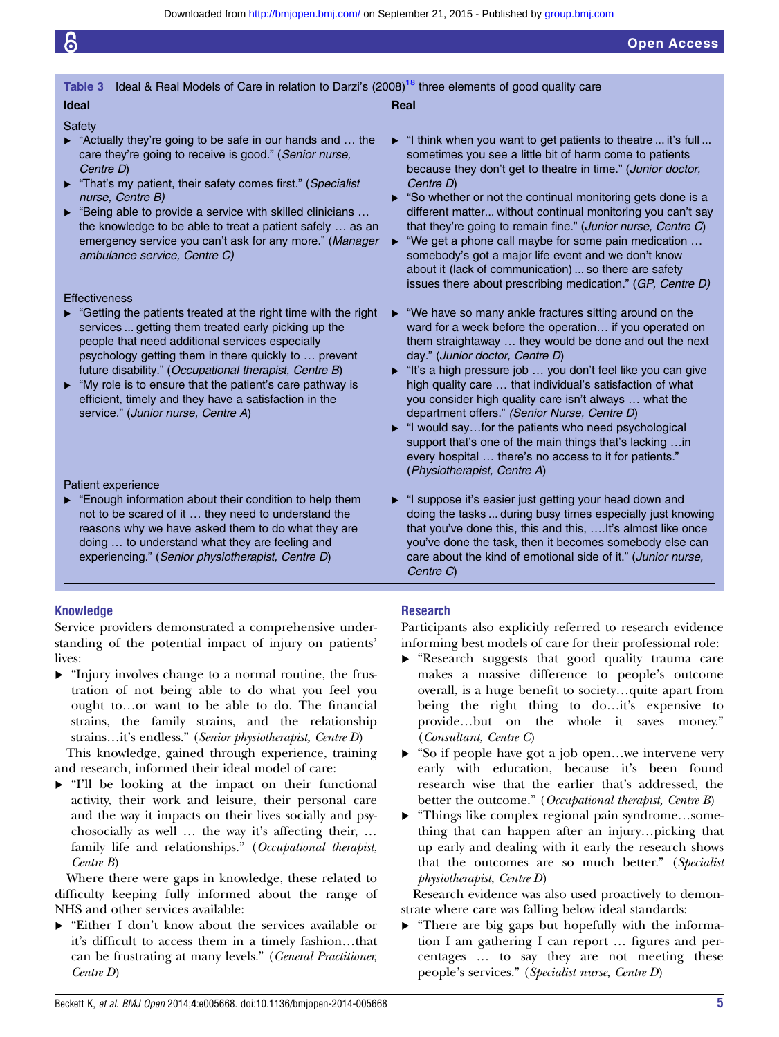<span id="page-4-0"></span>

| Ideal & Real Models of Care in relation to Darzi's $(2008)^{18}$ three elements of good quality care<br><b>Table 3</b>                                                                                                                                                                                                                                                                                                                                                   |                                                                                                                                                                                                                                                                                                                                                                                                                                                                                                                                                                                                                                                                                        |
|--------------------------------------------------------------------------------------------------------------------------------------------------------------------------------------------------------------------------------------------------------------------------------------------------------------------------------------------------------------------------------------------------------------------------------------------------------------------------|----------------------------------------------------------------------------------------------------------------------------------------------------------------------------------------------------------------------------------------------------------------------------------------------------------------------------------------------------------------------------------------------------------------------------------------------------------------------------------------------------------------------------------------------------------------------------------------------------------------------------------------------------------------------------------------|
| <b>Ideal</b>                                                                                                                                                                                                                                                                                                                                                                                                                                                             | Real                                                                                                                                                                                                                                                                                                                                                                                                                                                                                                                                                                                                                                                                                   |
| Safety<br>Actually they're going to be safe in our hands and  the<br>care they're going to receive is good." (Senior nurse,<br>Centre D)<br>"That's my patient, their safety comes first." (Specialist<br>nurse, Centre B)<br>> "Being able to provide a service with skilled clinicians<br>the knowledge to be able to treat a patient safely  as an<br>emergency service you can't ask for any more." (Manager<br>ambulance service, Centre C)<br><b>Effectiveness</b> | $\blacktriangleright$ "I think when you want to get patients to theatre  it's full<br>sometimes you see a little bit of harm come to patients<br>because they don't get to theatre in time." (Junior doctor,<br>Centre D)<br>So whether or not the continual monitoring gets done is a<br>different matter without continual monitoring you can't say<br>that they're going to remain fine." (Junior nurse, Centre C)<br>"We get a phone call maybe for some pain medication<br>►<br>somebody's got a major life event and we don't know<br>about it (lack of communication)  so there are safety<br>issues there about prescribing medication." (GP, Centre D)                        |
| • "Getting the patients treated at the right time with the right<br>services  getting them treated early picking up the<br>people that need additional services especially<br>psychology getting them in there quickly to  prevent<br>future disability." (Occupational therapist, Centre B)<br>• "My role is to ensure that the patient's care pathway is<br>efficient, timely and they have a satisfaction in the<br>service." (Junior nurse, Centre A)                | • "We have so many ankle fractures sitting around on the<br>ward for a week before the operation if you operated on<br>them straightaway  they would be done and out the next<br>day." (Junior doctor, Centre D)<br>lacktriangleright "It's a high pressure job  you don't feel like you can give<br>high quality care  that individual's satisfaction of what<br>you consider high quality care isn't always  what the<br>department offers." (Senior Nurse, Centre D)<br>If "I would sayfor the patients who need psychological<br>support that's one of the main things that's lacking  in<br>every hospital  there's no access to it for patients."<br>(Physiotherapist, Centre A) |
| Patient experience<br>Enough information about their condition to help them<br>not to be scared of it  they need to understand the<br>reasons why we have asked them to do what they are<br>doing  to understand what they are feeling and<br>experiencing." (Senior physiotherapist, Centre D)                                                                                                                                                                          | lacktriangleright if seasier just getting your head down and<br>doing the tasks  during busy times especially just knowing<br>that you've done this, this and this,  It's almost like once<br>you've done the task, then it becomes somebody else can<br>care about the kind of emotional side of it." (Junior nurse,<br>Centre C)                                                                                                                                                                                                                                                                                                                                                     |

## Knowledge

Service providers demonstrated a comprehensive understanding of the potential impact of injury on patients' lives:

▸ "Injury involves change to a normal routine, the frustration of not being able to do what you feel you ought to…or want to be able to do. The financial strains, the family strains, and the relationship strains…it's endless." (Senior physiotherapist, Centre D)

This knowledge, gained through experience, training and research, informed their ideal model of care:

▸ "I'll be looking at the impact on their functional activity, their work and leisure, their personal care and the way it impacts on their lives socially and psychosocially as well … the way it's affecting their, … family life and relationships." (Occupational therapist, Centre B)

Where there were gaps in knowledge, these related to difficulty keeping fully informed about the range of NHS and other services available:

▸ "Either I don't know about the services available or it's difficult to access them in a timely fashion…that can be frustrating at many levels." (General Practitioner, Centre D)

## Research

Participants also explicitly referred to research evidence informing best models of care for their professional role:

- ▸ "Research suggests that good quality trauma care makes a massive difference to people's outcome overall, is a huge benefit to society…quite apart from being the right thing to do…it's expensive to provide…but on the whole it saves money." (Consultant, Centre C)
- ▸ "So if people have got a job open…we intervene very early with education, because it's been found research wise that the earlier that's addressed, the better the outcome." (Occupational therapist, Centre B)
- ▸ "Things like complex regional pain syndrome…something that can happen after an injury…picking that up early and dealing with it early the research shows that the outcomes are so much better." (Specialist physiotherapist, Centre D)

Research evidence was also used proactively to demonstrate where care was falling below ideal standards:

▸ "There are big gaps but hopefully with the information I am gathering I can report … figures and percentages … to say they are not meeting these people's services." (Specialist nurse, Centre D)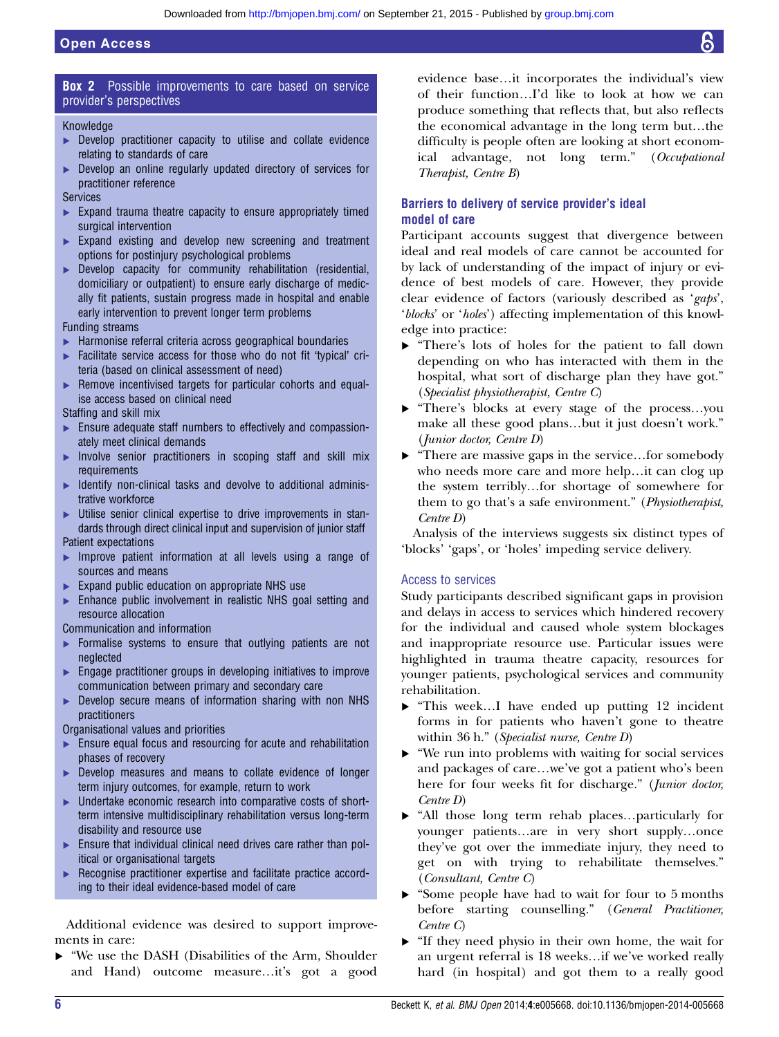<span id="page-5-0"></span>**Box 2** Possible improvements to care based on service provider's perspectives

## Knowledge

- ▸ Develop practitioner capacity to utilise and collate evidence relating to standards of care
- ▸ Develop an online regularly updated directory of services for practitioner reference

Services

- ▸ Expand trauma theatre capacity to ensure appropriately timed surgical intervention
- ▸ Expand existing and develop new screening and treatment options for postinjury psychological problems
- $\triangleright$  Develop capacity for community rehabilitation (residential, domiciliary or outpatient) to ensure early discharge of medically fit patients, sustain progress made in hospital and enable early intervention to prevent longer term problems

#### Funding streams

- ▸ Harmonise referral criteria across geographical boundaries
- ► Facilitate service access for those who do not fit 'typical' criteria (based on clinical assessment of need)
- ▸ Remove incentivised targets for particular cohorts and equalise access based on clinical need

Staffing and skill mix

- ▸ Ensure adequate staff numbers to effectively and compassionately meet clinical demands
- ▸ Involve senior practitioners in scoping staff and skill mix requirements
- ▸ Identify non-clinical tasks and devolve to additional administrative workforce
- ▸ Utilise senior clinical expertise to drive improvements in standards through direct clinical input and supervision of junior staff Patient expectations
- ▸ Improve patient information at all levels using a range of sources and means
- ▶ Expand public education on appropriate NHS use
- ▸ Enhance public involvement in realistic NHS goal setting and resource allocation

Communication and information

- ▸ Formalise systems to ensure that outlying patients are not neglected
- ▸ Engage practitioner groups in developing initiatives to improve communication between primary and secondary care
- ▸ Develop secure means of information sharing with non NHS practitioners

Organisational values and priorities

- ▶ Ensure equal focus and resourcing for acute and rehabilitation phases of recovery
- ▸ Develop measures and means to collate evidence of longer term injury outcomes, for example, return to work
- ▸ Undertake economic research into comparative costs of shortterm intensive multidisciplinary rehabilitation versus long-term disability and resource use
- ▸ Ensure that individual clinical need drives care rather than political or organisational targets
- ▸ Recognise practitioner expertise and facilitate practice according to their ideal evidence-based model of care

Additional evidence was desired to support improvements in care:

▸ "We use the DASH (Disabilities of the Arm, Shoulder and Hand) outcome measure…it's got a good evidence base…it incorporates the individual's view of their function…I'd like to look at how we can produce something that reflects that, but also reflects the economical advantage in the long term but…the difficulty is people often are looking at short economical advantage, not long term." (Occupational Therapist, Centre B)

# Barriers to delivery of service provider's ideal model of care

Participant accounts suggest that divergence between ideal and real models of care cannot be accounted for by lack of understanding of the impact of injury or evidence of best models of care. However, they provide clear evidence of factors (variously described as 'gaps', 'blocks' or 'holes') affecting implementation of this knowledge into practice:

- ▸ "There's lots of holes for the patient to fall down depending on who has interacted with them in the hospital, what sort of discharge plan they have got." (Specialist physiotherapist, Centre C)
- ▸ "There's blocks at every stage of the process…you make all these good plans…but it just doesn't work." (Junior doctor, Centre D)
- ▸ "There are massive gaps in the service…for somebody who needs more care and more help…it can clog up the system terribly…for shortage of somewhere for them to go that's a safe environment." (Physiotherapist, Centre D)

Analysis of the interviews suggests six distinct types of 'blocks' 'gaps', or 'holes' impeding service delivery.

## Access to services

Study participants described significant gaps in provision and delays in access to services which hindered recovery for the individual and caused whole system blockages and inappropriate resource use. Particular issues were highlighted in trauma theatre capacity, resources for younger patients, psychological services and community rehabilitation.

- ▸ "This week…I have ended up putting 12 incident forms in for patients who haven't gone to theatre within 36 h." (Specialist nurse, Centre D)
- ▸ "We run into problems with waiting for social services and packages of care…we've got a patient who's been here for four weeks fit for discharge." (*Junior doctor*, Centre D)
- ▸ "All those long term rehab places…particularly for younger patients…are in very short supply…once they've got over the immediate injury, they need to get on with trying to rehabilitate themselves." (Consultant, Centre C)
- ▸ "Some people have had to wait for four to 5 months before starting counselling." (General Practitioner, Centre C)
- ▸ "If they need physio in their own home, the wait for an urgent referral is 18 weeks…if we've worked really hard (in hospital) and got them to a really good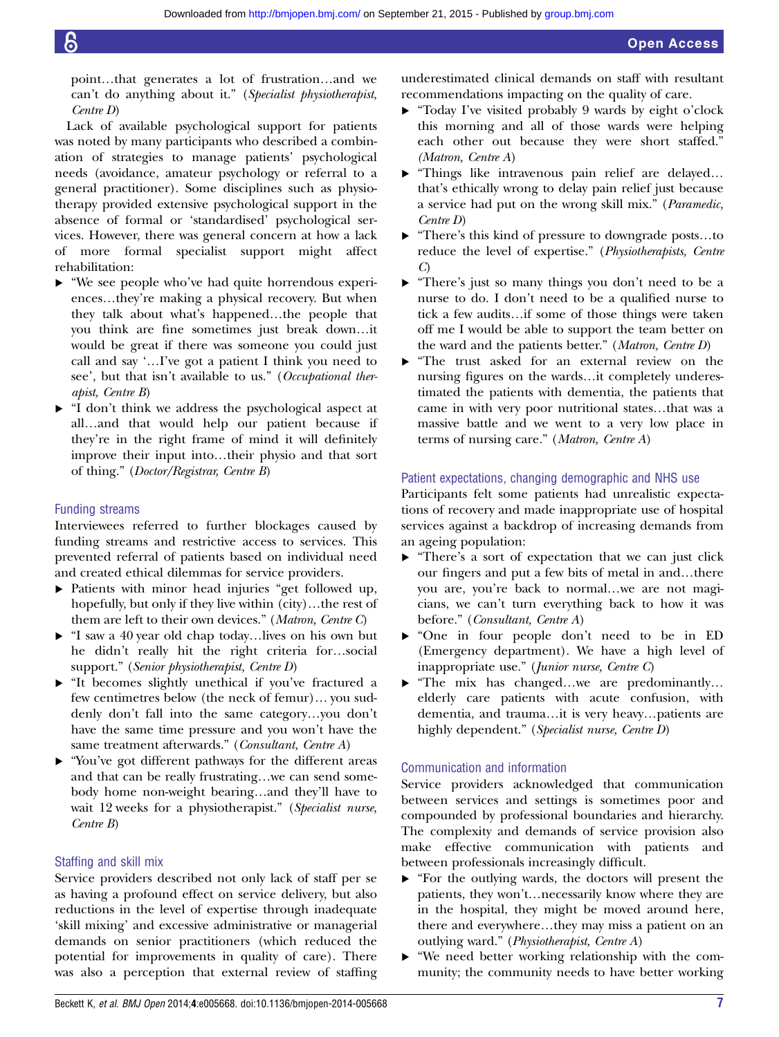point…that generates a lot of frustration…and we can't do anything about it." (Specialist physiotherapist, Centre D)

Lack of available psychological support for patients was noted by many participants who described a combination of strategies to manage patients' psychological needs (avoidance, amateur psychology or referral to a general practitioner). Some disciplines such as physiotherapy provided extensive psychological support in the absence of formal or 'standardised' psychological services. However, there was general concern at how a lack of more formal specialist support might affect rehabilitation:

- ▸ "We see people who've had quite horrendous experiences…they're making a physical recovery. But when they talk about what's happened…the people that you think are fine sometimes just break down…it would be great if there was someone you could just call and say '…I've got a patient I think you need to see', but that isn't available to us." (Occupational therapist, Centre B)
- ▸ "I don't think we address the psychological aspect at all…and that would help our patient because if they're in the right frame of mind it will definitely improve their input into…their physio and that sort of thing." (Doctor/Registrar, Centre B)

## Funding streams

Interviewees referred to further blockages caused by funding streams and restrictive access to services. This prevented referral of patients based on individual need and created ethical dilemmas for service providers.

- ▸ Patients with minor head injuries "get followed up, hopefully, but only if they live within (city)...the rest of them are left to their own devices." (Matron, Centre C)
- ▸ "I saw a 40 year old chap today…lives on his own but he didn't really hit the right criteria for…social support." (Senior physiotherapist, Centre D)
- ▸ "It becomes slightly unethical if you've fractured a few centimetres below (the neck of femur)… you suddenly don't fall into the same category…you don't have the same time pressure and you won't have the same treatment afterwards." (Consultant, Centre A)
- ▸ "You've got different pathways for the different areas and that can be really frustrating…we can send somebody home non-weight bearing…and they'll have to wait 12 weeks for a physiotherapist." (Specialist nurse, Centre B)

## Staffing and skill mix

Service providers described not only lack of staff per se as having a profound effect on service delivery, but also reductions in the level of expertise through inadequate 'skill mixing' and excessive administrative or managerial demands on senior practitioners (which reduced the potential for improvements in quality of care). There was also a perception that external review of staffing

underestimated clinical demands on staff with resultant recommendations impacting on the quality of care.

- ▸ "Today I've visited probably 9 wards by eight o'clock this morning and all of those wards were helping each other out because they were short staffed." (Matron, Centre A)
- ▸ "Things like intravenous pain relief are delayed… that's ethically wrong to delay pain relief just because a service had put on the wrong skill mix." (Paramedic, Centre D)
- ▸ "There's this kind of pressure to downgrade posts…to reduce the level of expertise." (Physiotherapists, Centre C)
- ▸ "There's just so many things you don't need to be a nurse to do. I don't need to be a qualified nurse to tick a few audits…if some of those things were taken off me I would be able to support the team better on the ward and the patients better." (Matron, Centre D)
- ▸ "The trust asked for an external review on the nursing figures on the wards…it completely underestimated the patients with dementia, the patients that came in with very poor nutritional states…that was a massive battle and we went to a very low place in terms of nursing care." (Matron, Centre A)

## Patient expectations, changing demographic and NHS use

Participants felt some patients had unrealistic expectations of recovery and made inappropriate use of hospital services against a backdrop of increasing demands from an ageing population:

- ▸ "There's a sort of expectation that we can just click our fingers and put a few bits of metal in and…there you are, you're back to normal…we are not magicians, we can't turn everything back to how it was before." (Consultant, Centre A)
- ▸ "One in four people don't need to be in ED (Emergency department). We have a high level of inappropriate use." (Junior nurse, Centre C)
- ▸ "The mix has changed…we are predominantly… elderly care patients with acute confusion, with dementia, and trauma…it is very heavy…patients are highly dependent." (Specialist nurse, Centre D)

#### Communication and information

Service providers acknowledged that communication between services and settings is sometimes poor and compounded by professional boundaries and hierarchy. The complexity and demands of service provision also make effective communication with patients and between professionals increasingly difficult.

- ▸ "For the outlying wards, the doctors will present the patients, they won't…necessarily know where they are in the hospital, they might be moved around here, there and everywhere…they may miss a patient on an outlying ward." (Physiotherapist, Centre A)
- ▸ "We need better working relationship with the community; the community needs to have better working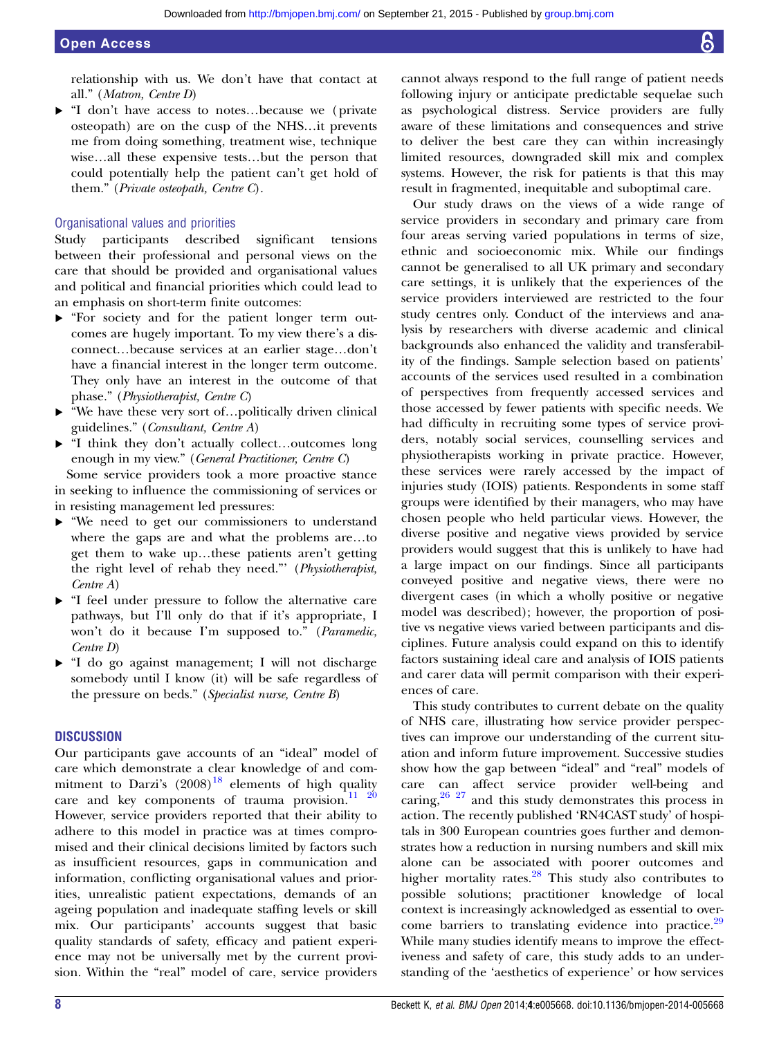relationship with us. We don't have that contact at all." (Matron, Centre D)

▸ "I don't have access to notes…because we (private osteopath) are on the cusp of the NHS…it prevents me from doing something, treatment wise, technique wise…all these expensive tests…but the person that could potentially help the patient can't get hold of them." (Private osteopath, Centre C).

## Organisational values and priorities

Study participants described significant tensions between their professional and personal views on the care that should be provided and organisational values and political and financial priorities which could lead to an emphasis on short-term finite outcomes:

- ▸ "For society and for the patient longer term outcomes are hugely important. To my view there's a disconnect…because services at an earlier stage…don't have a financial interest in the longer term outcome. They only have an interest in the outcome of that phase." (Physiotherapist, Centre C)
- ▸ "We have these very sort of…politically driven clinical guidelines." (Consultant, Centre A)
- ▸ "I think they don't actually collect…outcomes long enough in my view." (General Practitioner, Centre C)

Some service providers took a more proactive stance in seeking to influence the commissioning of services or in resisting management led pressures:

- ▸ "We need to get our commissioners to understand where the gaps are and what the problems are…to get them to wake up…these patients aren't getting the right level of rehab they need."' (Physiotherapist, Centre A)
- ▸ "I feel under pressure to follow the alternative care pathways, but I'll only do that if it's appropriate, I won't do it because I'm supposed to." (Paramedic, Centre D)
- ▸ "I do go against management; I will not discharge somebody until I know (it) will be safe regardless of the pressure on beds." (Specialist nurse, Centre B)

## **DISCUSSION**

Our participants gave accounts of an "ideal" model of care which demonstrate a clear knowledge of and commitment to Darzi's  $(2008)^{18}$  $(2008)^{18}$  $(2008)^{18}$  elements of high quality care and key components of trauma provision. $\frac{11}{20}$ However, service providers reported that their ability to adhere to this model in practice was at times compromised and their clinical decisions limited by factors such as insufficient resources, gaps in communication and information, conflicting organisational values and priorities, unrealistic patient expectations, demands of an ageing population and inadequate staffing levels or skill mix. Our participants' accounts suggest that basic quality standards of safety, efficacy and patient experience may not be universally met by the current provision. Within the "real" model of care, service providers

cannot always respond to the full range of patient needs following injury or anticipate predictable sequelae such as psychological distress. Service providers are fully aware of these limitations and consequences and strive to deliver the best care they can within increasingly limited resources, downgraded skill mix and complex systems. However, the risk for patients is that this may result in fragmented, inequitable and suboptimal care.

Our study draws on the views of a wide range of service providers in secondary and primary care from four areas serving varied populations in terms of size, ethnic and socioeconomic mix. While our findings cannot be generalised to all UK primary and secondary care settings, it is unlikely that the experiences of the service providers interviewed are restricted to the four study centres only. Conduct of the interviews and analysis by researchers with diverse academic and clinical backgrounds also enhanced the validity and transferability of the findings. Sample selection based on patients' accounts of the services used resulted in a combination of perspectives from frequently accessed services and those accessed by fewer patients with specific needs. We had difficulty in recruiting some types of service providers, notably social services, counselling services and physiotherapists working in private practice. However, these services were rarely accessed by the impact of injuries study (IOIS) patients. Respondents in some staff groups were identified by their managers, who may have chosen people who held particular views. However, the diverse positive and negative views provided by service providers would suggest that this is unlikely to have had a large impact on our findings. Since all participants conveyed positive and negative views, there were no divergent cases (in which a wholly positive or negative model was described); however, the proportion of positive vs negative views varied between participants and disciplines. Future analysis could expand on this to identify factors sustaining ideal care and analysis of IOIS patients and carer data will permit comparison with their experiences of care.

This study contributes to current debate on the quality of NHS care, illustrating how service provider perspectives can improve our understanding of the current situation and inform future improvement. Successive studies show how the gap between "ideal" and "real" models of care can affect service provider well-being and caring, $26 \frac{27}{7}$  and this study demonstrates this process in action. The recently published 'RN4CAST study' of hospitals in 300 European countries goes further and demonstrates how a reduction in nursing numbers and skill mix alone can be associated with poorer outcomes and higher mortality rates.<sup>[28](#page-9-0)</sup> This study also contributes to possible solutions; practitioner knowledge of local context is increasingly acknowledged as essential to over-come barriers to translating evidence into practice.<sup>[29](#page-9-0)</sup> While many studies identify means to improve the effectiveness and safety of care, this study adds to an understanding of the 'aesthetics of experience' or how services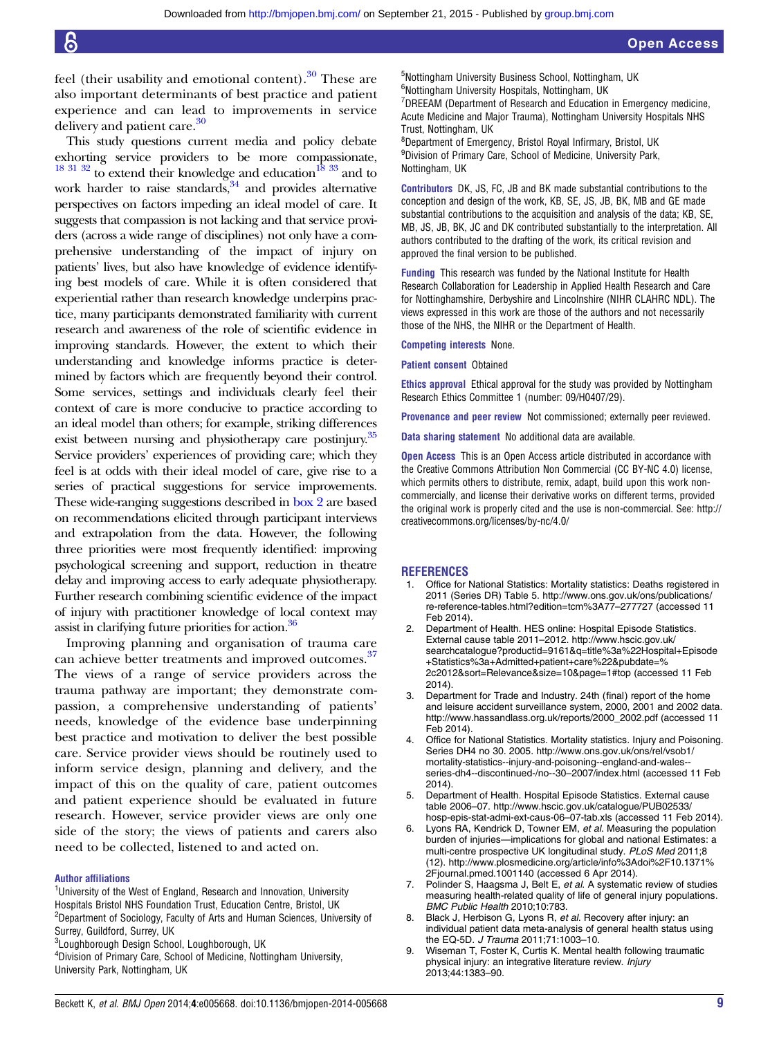<span id="page-8-0"></span>feel (their usability and emotional content). $30$  These are also important determinants of best practice and patient experience and can lead to improvements in service delivery and patient care.<sup>[30](#page-9-0)</sup>

This study questions current media and policy debate exhorting service providers to be more compassionate,  $18$   $31$   $32$  to extend their knowledge and education<sup>18</sup>  $33$  and to work harder to raise standards,<sup>[34](#page-9-0)</sup> and provides alternative perspectives on factors impeding an ideal model of care. It suggests that compassion is not lacking and that service providers (across a wide range of disciplines) not only have a comprehensive understanding of the impact of injury on patients' lives, but also have knowledge of evidence identifying best models of care. While it is often considered that experiential rather than research knowledge underpins practice, many participants demonstrated familiarity with current research and awareness of the role of scientific evidence in improving standards. However, the extent to which their understanding and knowledge informs practice is determined by factors which are frequently beyond their control. Some services, settings and individuals clearly feel their context of care is more conducive to practice according to an ideal model than others; for example, striking differences exist between nursing and physiotherapy care postinjury.<sup>35</sup> Service providers' experiences of providing care; which they feel is at odds with their ideal model of care, give rise to a series of practical suggestions for service improvements. These wide-ranging suggestions described in [box 2](#page-5-0) are based on recommendations elicited through participant interviews and extrapolation from the data. However, the following three priorities were most frequently identified: improving psychological screening and support, reduction in theatre delay and improving access to early adequate physiotherapy. Further research combining scientific evidence of the impact of injury with practitioner knowledge of local context may assist in clarifying future priorities for action.<sup>36</sup>

Improving planning and organisation of trauma care can achieve better treatments and improved outcomes.<sup>[37](#page-9-0)</sup> The views of a range of service providers across the trauma pathway are important; they demonstrate compassion, a comprehensive understanding of patients' needs, knowledge of the evidence base underpinning best practice and motivation to deliver the best possible care. Service provider views should be routinely used to inform service design, planning and delivery, and the impact of this on the quality of care, patient outcomes and patient experience should be evaluated in future research. However, service provider views are only one side of the story; the views of patients and carers also need to be collected, listened to and acted on.

#### Author affiliations

4 Division of Primary Care, School of Medicine, Nottingham University, University Park, Nottingham, UK

<sup>7</sup>DREEAM (Department of Research and Education in Emergency medicine, Acute Medicine and Major Trauma), Nottingham University Hospitals NHS Trust, Nottingham, UK

Open Access

8 Department of Emergency, Bristol Royal Infirmary, Bristol, UK <sup>9</sup>Division of Primary Care, School of Medicine, University Park, Nottingham, UK

Contributors DK, JS, FC, JB and BK made substantial contributions to the conception and design of the work, KB, SE, JS, JB, BK, MB and GE made substantial contributions to the acquisition and analysis of the data; KB, SE, MB, JS, JB, BK, JC and DK contributed substantially to the interpretation. All authors contributed to the drafting of the work, its critical revision and approved the final version to be published.

Funding This research was funded by the National Institute for Health Research Collaboration for Leadership in Applied Health Research and Care for Nottinghamshire, Derbyshire and Lincolnshire (NIHR CLAHRC NDL). The views expressed in this work are those of the authors and not necessarily those of the NHS, the NIHR or the Department of Health.

Competing interests None.

Patient consent Obtained

Ethics approval Ethical approval for the study was provided by Nottingham Research Ethics Committee 1 (number: 09/H0407/29).

Provenance and peer review Not commissioned; externally peer reviewed.

Data sharing statement No additional data are available.

**Open Access** This is an Open Access article distributed in accordance with the Creative Commons Attribution Non Commercial (CC BY-NC 4.0) license, which permits others to distribute, remix, adapt, build upon this work noncommercially, and license their derivative works on different terms, provided the original work is properly cited and the use is non-commercial. See: [http://](http://creativecommons.org/licenses/by-nc/4.0/) [creativecommons.org/licenses/by-nc/4.0/](http://creativecommons.org/licenses/by-nc/4.0/)

#### **REFERENCES**

- 1. Office for National Statistics: Mortality statistics: Deaths registered in 2011 (Series DR) Table 5. [http://www.ons.gov.uk/ons/publications/](http://www.ons.gov.uk/ons/publications/re-reference-tables.html?edition=tcm%3A77–277727) [re-reference-tables.html?edition=tcm%3A77](http://www.ons.gov.uk/ons/publications/re-reference-tables.html?edition=tcm%3A77–277727)–277727 (accessed 11 Feb 2014).
- 2. Department of Health. HES online: Hospital Episode Statistics. External cause table 2011–2012. [http://www.hscic.gov.uk/](http://www.hscic.gov.uk/searchcatalogue?productid=9161&q=title%3a%22Hospital+Episode+Statistics%3a+Admitted+patient+care%22&pubdate=%2c2012&sort=Relevance&size=10&page=1#top) [searchcatalogue?productid=9161&q=title%3a%22Hospital+Episode](http://www.hscic.gov.uk/searchcatalogue?productid=9161&q=title%3a%22Hospital+Episode+Statistics%3a+Admitted+patient+care%22&pubdate=%2c2012&sort=Relevance&size=10&page=1#top) [+Statistics%3a+Admitted+patient+care%22&pubdate=%](http://www.hscic.gov.uk/searchcatalogue?productid=9161&q=title%3a%22Hospital+Episode+Statistics%3a+Admitted+patient+care%22&pubdate=%2c2012&sort=Relevance&size=10&page=1#top) [2c2012&sort=Relevance&size=10&page=1#top](http://www.hscic.gov.uk/searchcatalogue?productid=9161&q=title%3a%22Hospital+Episode+Statistics%3a+Admitted+patient+care%22&pubdate=%2c2012&sort=Relevance&size=10&page=1#top) (accessed 11 Feb 2014).
- 3. Department for Trade and Industry. 24th (final) report of the home and leisure accident surveillance system, 2000, 2001 and 2002 data. [http://www.hassandlass.org.uk/reports/2000\\_2002.pdf](http://www.hassandlass.org.uk/reports/2000_2002.pdf) (accessed 11 Feb 2014).
- 4. Office for National Statistics. Mortality statistics. Injury and Poisoning. Series DH4 no 30. 2005. [http://www.ons.gov.uk/ons/rel/vsob1/](http://www.ons.gov.uk/ons/rel/vsob1/mortality-statistics--injury-and-poisoning--england-and-wales--series-dh4--discontinued-/no--30–2007/index.html) [mortality-statistics--injury-and-poisoning--england-and-wales-](http://www.ons.gov.uk/ons/rel/vsob1/mortality-statistics--injury-and-poisoning--england-and-wales--series-dh4--discontinued-/no--30–2007/index.html) [series-dh4--discontinued-/no--30](http://www.ons.gov.uk/ons/rel/vsob1/mortality-statistics--injury-and-poisoning--england-and-wales--series-dh4--discontinued-/no--30–2007/index.html)–2007/index.html (accessed 11 Feb 2014)
- 5. Department of Health. Hospital Episode Statistics. External cause table 2006–07. [http://www.hscic.gov.uk/catalogue/PUB02533/](http://www.hscic.gov.uk/catalogue/PUB02533/hosp-epis-stat-admi-ext-caus-06–07-tab.xls) [hosp-epis-stat-admi-ext-caus-06](http://www.hscic.gov.uk/catalogue/PUB02533/hosp-epis-stat-admi-ext-caus-06–07-tab.xls)–07-tab.xls (accessed 11 Feb 2014).
- Lyons RA, Kendrick D, Towner EM, et al. Measuring the population burden of injuries—implications for global and national Estimates: a multi-centre prospective UK longitudinal study. PLoS Med 2011;8 (12). [http://www.plosmedicine.org/article/info%3Adoi%2F10.1371%](http://www.plosmedicine.org/article/info%3Adoi%2F10.1371%2Fjournal.pmed.1001140) [2Fjournal.pmed.1001140](http://www.plosmedicine.org/article/info%3Adoi%2F10.1371%2Fjournal.pmed.1001140) (accessed 6 Apr 2014).
- 7. Polinder S, Haagsma J, Belt E, et al. A systematic review of studies measuring health-related quality of life of general injury populations. BMC Public Health 2010;10:783.
- Black J, Herbison G, Lyons R, et al. Recovery after injury: an individual patient data meta-analysis of general health status using the EQ-5D. J Trauma 2011;71:1003-10.
- Wiseman T, Foster K, Curtis K. Mental health following traumatic physical injury: an integrative literature review. Injury 2013;44:1383–90.

<sup>&</sup>lt;sup>1</sup>University of the West of England, Research and Innovation, University Hospitals Bristol NHS Foundation Trust, Education Centre, Bristol, UK <sup>2</sup>Department of Sociology, Faculty of Arts and Human Sciences, University of Surrey, Guildford, Surrey, UK

 ${}^{3}$ Loughborough Design School, Loughborough, UK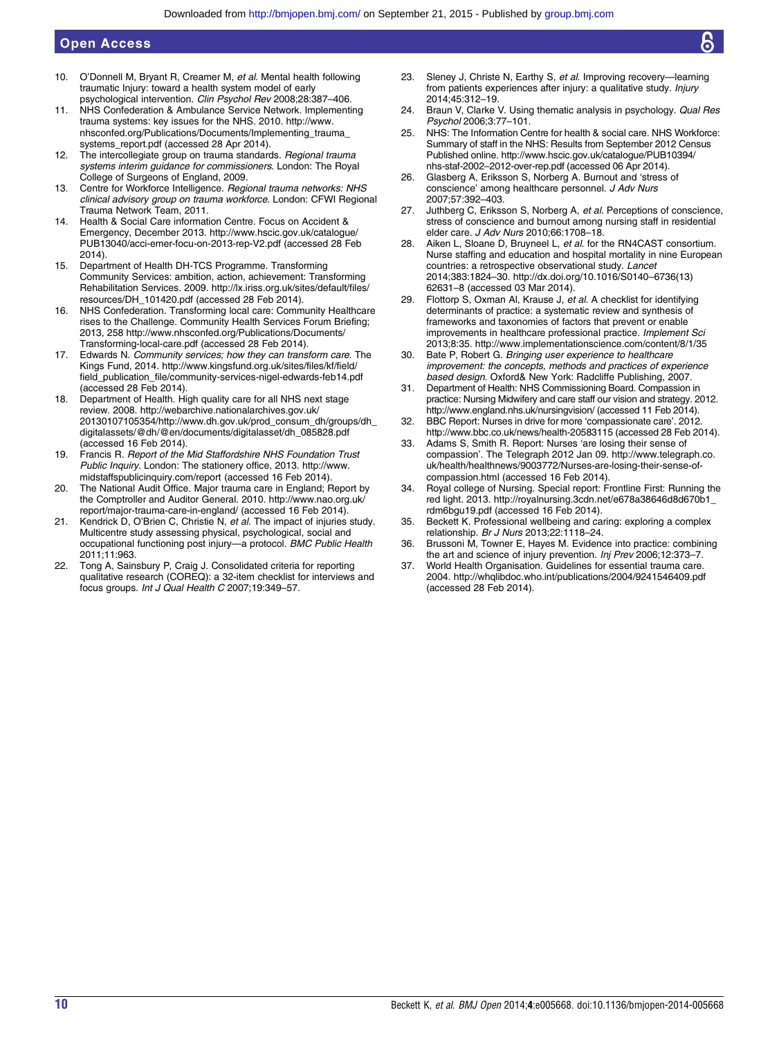- <span id="page-9-0"></span>10. O'Donnell M, Brvant R, Creamer M, et al. Mental health following traumatic Injury: toward a health system model of early psychological intervention. Clin Psychol Rev 2008;28:387–406.
- 11. NHS Confederation & Ambulance Service Network. Implementing trauma systems: key issues for the NHS. 2010. [http://www.](http://www.nhsconfed.org/Publications/Documents/Implementing_trauma_systems_report.pdf) [nhsconfed.org/Publications/Documents/Implementing\\_trauma\\_](http://www.nhsconfed.org/Publications/Documents/Implementing_trauma_systems_report.pdf) [systems\\_report.pdf](http://www.nhsconfed.org/Publications/Documents/Implementing_trauma_systems_report.pdf) (accessed 28 Apr 2014).
- 12. The intercollegiate group on trauma standards. Regional trauma systems interim guidance for commissioners. London: The Royal College of Surgeons of England, 2009.
- 13. Centre for Workforce Intelligence. Regional trauma networks: NHS clinical advisory group on trauma workforce. London: CFWI Regional Trauma Network Team, 2011.
- 14. Health & Social Care information Centre. Focus on Accident & Emergency, December 2013. [http://www.hscic.gov.uk/catalogue/](http://www.hscic.gov.uk/catalogue/PUB13040/acci-emer-focu-on-2013-rep-V2.pdf) [PUB13040/acci-emer-focu-on-2013-rep-V2.pdf](http://www.hscic.gov.uk/catalogue/PUB13040/acci-emer-focu-on-2013-rep-V2.pdf) (accessed 28 Feb 2014)
- 15. Department of Health DH-TCS Programme. Transforming Community Services: ambition, action, achievement: Transforming Rehabilitation Services. 2009. [http://lx.iriss.org.uk/sites/default/files/](http://lx.iriss.org.uk/sites/default/files/resources/DH_101420.pdf) [resources/DH\\_101420.pdf](http://lx.iriss.org.uk/sites/default/files/resources/DH_101420.pdf) (accessed 28 Feb 2014).
- NHS Confederation. Transforming local care: Community Healthcare rises to the Challenge. Community Health Services Forum Briefing; 2013, 258 [http://www.nhsconfed.org/Publications/Documents/](http://www.nhsconfed.org/Publications/Documents/Transforming-local-care.pdf) [Transforming-local-care.pdf](http://www.nhsconfed.org/Publications/Documents/Transforming-local-care.pdf) (accessed 28 Feb 2014).
- 17. Edwards N. Community services; how they can transform care. The Kings Fund, 2014. [http://www.kingsfund.org.uk/sites/files/kf/field/](http://www.kingsfund.org.uk/sites/files/kf/field/field_publication_file/community-services-nigel-edwards-feb14.pdf) [field\\_publication\\_file/community-services-nigel-edwards-feb14.pdf](http://www.kingsfund.org.uk/sites/files/kf/field/field_publication_file/community-services-nigel-edwards-feb14.pdf) (accessed 28 Feb 2014).
- 18. Department of Health. High quality care for all NHS next stage review. 2008. [http://webarchive.nationalarchives.gov.uk/](http://webarchive.nationalarchives.gov.uk/20130107105354/http://www.dh.gov.uk/prod_consum_dh/groups/dh_digitalassets/@dh/@en/documents/digitalasset/dh_085828.pdf) [20130107105354/http://www.dh.gov.uk/prod\\_consum\\_dh/groups/dh\\_](http://webarchive.nationalarchives.gov.uk/20130107105354/http://www.dh.gov.uk/prod_consum_dh/groups/dh_digitalassets/@dh/@en/documents/digitalasset/dh_085828.pdf) [digitalassets/@dh/@en/documents/digitalasset/dh\\_085828.pdf](http://webarchive.nationalarchives.gov.uk/20130107105354/http://www.dh.gov.uk/prod_consum_dh/groups/dh_digitalassets/@dh/@en/documents/digitalasset/dh_085828.pdf) (accessed 16 Feb 2014).
- 19. Francis R. Report of the Mid Staffordshire NHS Foundation Trust Public Inquiry. London: The stationery office, 2013. [http://www.](http://www.midstaffspublicinquiry.com/report) [midstaffspublicinquiry.com/report](http://www.midstaffspublicinquiry.com/report) (accessed 16 Feb 2014).
- 20. The National Audit Office. Major trauma care in England; Report by the Comptroller and Auditor General. 2010. [http://www.nao.org.uk/](http://www.nao.org.uk/report/major-trauma-care-in-england/) [report/major-trauma-care-in-england/](http://www.nao.org.uk/report/major-trauma-care-in-england/) (accessed 16 Feb 2014).
- 21. Kendrick D, O'Brien C, Christie N, et al. The impact of injuries study. Multicentre study assessing physical, psychological, social and occupational functioning post injury—a protocol. BMC Public Health 2011;11:963.
- 22. Tong A, Sainsbury P, Craig J. Consolidated criteria for reporting qualitative research (COREQ): a 32-item checklist for interviews and focus groups. Int J Qual Health C 2007;19:349–57.
- 23. Sleney J, Christe N, Earthy S, et al. Improving recovery-learning from patients experiences after injury: a qualitative study. Injury 2014;45:312–19.
- 24. Braun V, Clarke V. Using thematic analysis in psychology. Qual Res Psychol 2006;3:77–101.
- 25. NHS: The Information Centre for health & social care. NHS Workforce: Summary of staff in the NHS: Results from September 2012 Census Published online. [http://www.hscic.gov.uk/catalogue/PUB10394/](http://www.hscic.gov.uk/catalogue/PUB10394/nhs-staf-2002–2012-over-rep.pdf) [nhs-staf-2002](http://www.hscic.gov.uk/catalogue/PUB10394/nhs-staf-2002–2012-over-rep.pdf)–[2012-over-rep.pdf](http://www.hscic.gov.uk/catalogue/PUB10394/nhs-staf-2002–2012-over-rep.pdf) (accessed 06 Apr 2014).
- 26. Glasberg A, Eriksson S, Norberg A. Burnout and 'stress of conscience' among healthcare personnel. J Adv Nurs 2007;57:392–403.
- 27. Juthberg C, Eriksson S, Norberg A, et al. Perceptions of conscience, stress of conscience and burnout among nursing staff in residential elder care. J Adv Nurs 2010;66:1708–18.
- 28. Aiken L, Sloane D, Bruyneel L, et al. for the RN4CAST consortium. Nurse staffing and education and hospital mortality in nine European countries: a retrospective observational study. Lancet 2014;383:1824–30. [http://dx.doi.org/10.1016/S0140](http://dx.doi.org/10.1016/S0140–6736(13)62631–8)–6736(13) [62631](http://dx.doi.org/10.1016/S0140–6736(13)62631–8)–8 (accessed 03 Mar 2014).
- 29. Flottorp S, Oxman Al, Krause J, et al. A checklist for identifying determinants of practice: a systematic review and synthesis of frameworks and taxonomies of factors that prevent or enable improvements in healthcare professional practice. Implement Sci 2013;8:35.<http://www.implementationscience.com/content/8/1/35>
- 30. Bate P, Robert G. Bringing user experience to healthcare improvement: the concepts, methods and practices of experience based design. Oxford& New York: Radcliffe Publishing, 2007.
- 31. Department of Health: NHS Commissioning Board. Compassion in practice: Nursing Midwifery and care staff our vision and strategy. 2012. <http://www.england.nhs.uk/nursingvision/> (accessed 11 Feb 2014).
- 32. BBC Report: Nurses in drive for more 'compassionate care'. 2012. <http://www.bbc.co.uk/news/health-20583115> (accessed 28 Feb 2014).
- 33. Adams S, Smith R. Report: Nurses 'are losing their sense of compassion'. The Telegraph 2012 Jan 09. [http://www.telegraph.co.](http://www.telegraph.co.uk/health/healthnews/9003772/Nurses-are-losing-their-sense-of-compassion.html) [uk/health/healthnews/9003772/Nurses-are-losing-their-sense-of](http://www.telegraph.co.uk/health/healthnews/9003772/Nurses-are-losing-their-sense-of-compassion.html)[compassion.html](http://www.telegraph.co.uk/health/healthnews/9003772/Nurses-are-losing-their-sense-of-compassion.html) (accessed 16 Feb 2014).
- 34. Royal college of Nursing. Special report: Frontline First: Running the red light. 2013. [http://royalnursing.3cdn.net/e678a38646d8d670b1\\_](http://royalnursing.3cdn.net/e678a38646d8d670b1_rdm6bgu19.pdf) [rdm6bgu19.pdf](http://royalnursing.3cdn.net/e678a38646d8d670b1_rdm6bgu19.pdf) (accessed 16 Feb 2014).
- Beckett K. Professional wellbeing and caring: exploring a complex relationship. Br J Nurs 2013;22:1118–24.
- 36. Brussoni M, Towner E, Hayes M. Evidence into practice: combining the art and science of injury prevention. Inj Prev 2006;12:373-7.
- 37. World Health Organisation. Guidelines for essential trauma care. 2004.<http://whqlibdoc.who.int/publications/2004/9241546409.pdf> (accessed 28 Feb 2014).